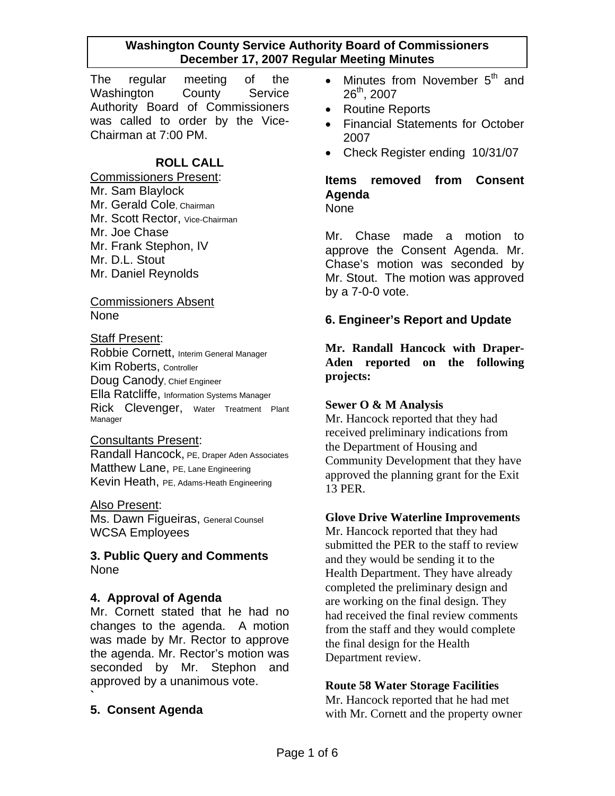The regular meeting of the Washington County Service Authority Board of Commissioners was called to order by the Vice-Chairman at 7:00 PM.

### **ROLL CALL**

Commissioners Present: Mr. Sam Blaylock Mr. Gerald Cole, Chairman Mr. Scott Rector, Vice-Chairman Mr. Joe Chase Mr. Frank Stephon, IV Mr. D.L. Stout Mr. Daniel Reynolds

#### Commissioners Absent None

#### Staff Present:

Robbie Cornett, Interim General Manager Kim Roberts, Controller Doug Canody, Chief Engineer Ella Ratcliffe, Information Systems Manager Rick Clevenger, Water Treatment Plant Manager

#### Consultants Present:

Randall Hancock, PE, Draper Aden Associates Matthew Lane, PE, Lane Engineering Kevin Heath, PE, Adams-Heath Engineering

#### Also Present:

Ms. Dawn Figueiras, General Counsel WCSA Employees

#### **3. Public Query and Comments**  None

#### **4. Approval of Agenda**

Mr. Cornett stated that he had no changes to the agenda. A motion was made by Mr. Rector to approve the agenda. Mr. Rector's motion was seconded by Mr. Stephon and approved by a unanimous vote.

### **5. Consent Agenda**

**`** 

- Minutes from November  $5<sup>th</sup>$  and  $26^{th}$ , 2007
- Routine Reports
- Financial Statements for October 2007
- Check Register ending 10/31/07

# **Items removed from Consent Agenda**

None

Mr. Chase made a motion to approve the Consent Agenda. Mr. Chase's motion was seconded by Mr. Stout. The motion was approved by a 7-0-0 vote.

### **6. Engineer's Report and Update**

**Mr. Randall Hancock with Draper-Aden reported on the following projects:** 

#### **Sewer O & M Analysis**

Mr. Hancock reported that they had received preliminary indications from the Department of Housing and Community Development that they have approved the planning grant for the Exit 13 PER.

#### **Glove Drive Waterline Improvements**

Mr. Hancock reported that they had submitted the PER to the staff to review and they would be sending it to the Health Department. They have already completed the preliminary design and are working on the final design. They had received the final review comments from the staff and they would complete the final design for the Health Department review.

#### **Route 58 Water Storage Facilities**

Mr. Hancock reported that he had met with Mr. Cornett and the property owner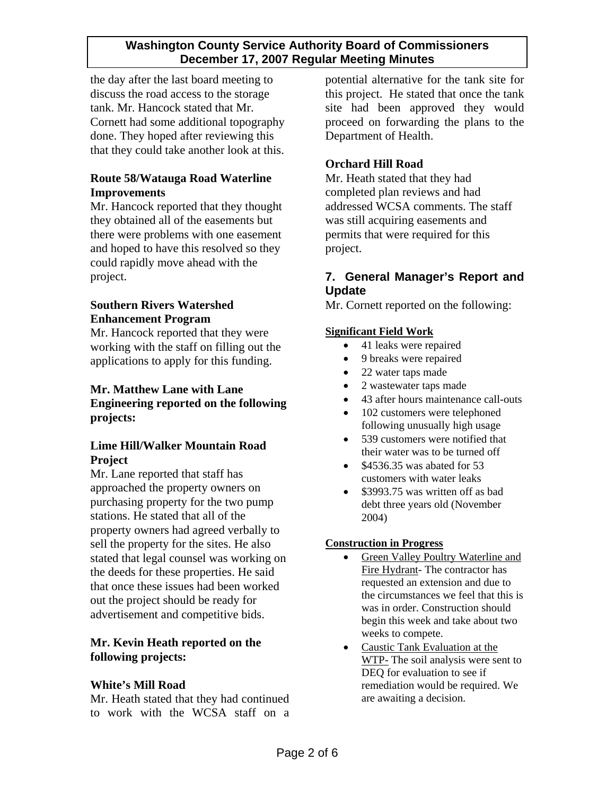the day after the last board meeting to discuss the road access to the storage tank. Mr. Hancock stated that Mr. Cornett had some additional topography done. They hoped after reviewing this that they could take another look at this.

### **Route 58/Watauga Road Waterline Improvements**

Mr. Hancock reported that they thought they obtained all of the easements but there were problems with one easement and hoped to have this resolved so they could rapidly move ahead with the project.

#### **Southern Rivers Watershed Enhancement Program**

Mr. Hancock reported that they were working with the staff on filling out the applications to apply for this funding.

### **Mr. Matthew Lane with Lane Engineering reported on the following projects:**

### **Lime Hill/Walker Mountain Road Project**

Mr. Lane reported that staff has approached the property owners on purchasing property for the two pump stations. He stated that all of the property owners had agreed verbally to sell the property for the sites. He also stated that legal counsel was working on the deeds for these properties. He said that once these issues had been worked out the project should be ready for advertisement and competitive bids.

### **Mr. Kevin Heath reported on the following projects:**

### **White's Mill Road**

Mr. Heath stated that they had continued to work with the WCSA staff on a potential alternative for the tank site for this project. He stated that once the tank site had been approved they would proceed on forwarding the plans to the Department of Health.

## **Orchard Hill Road**

Mr. Heath stated that they had completed plan reviews and had addressed WCSA comments. The staff was still acquiring easements and permits that were required for this project.

## **7. General Manager's Report and Update**

Mr. Cornett reported on the following:

#### **Significant Field Work**

- 41 leaks were repaired
- 9 breaks were repaired
- 22 water taps made
- 2 wastewater taps made
- 43 after hours maintenance call-outs
- 102 customers were telephoned following unusually high usage
- 539 customers were notified that their water was to be turned off
- $$4536.35$  was abated for 53 customers with water leaks
- \$3993.75 was written off as bad debt three years old (November 2004)

#### **Construction in Progress**

- Green Valley Poultry Waterline and Fire Hydrant- The contractor has requested an extension and due to the circumstances we feel that this is was in order. Construction should begin this week and take about two weeks to compete.
- Caustic Tank Evaluation at the WTP- The soil analysis were sent to DEQ for evaluation to see if remediation would be required. We are awaiting a decision.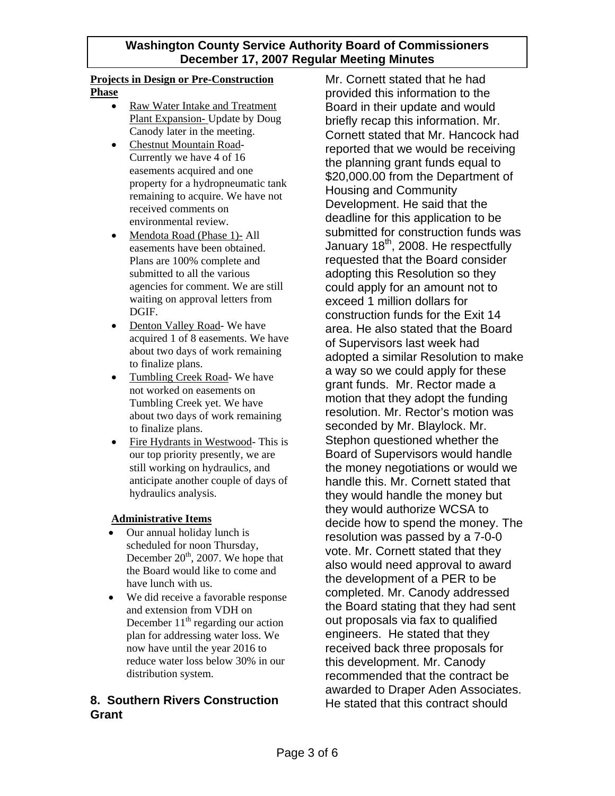#### **Projects in Design or Pre-Construction Phase**

- Raw Water Intake and Treatment Plant Expansion- Update by Doug Canody later in the meeting.
- Chestnut Mountain Road-Currently we have 4 of 16 easements acquired and one property for a hydropneumatic tank remaining to acquire. We have not received comments on environmental review.
- Mendota Road (Phase 1)- All easements have been obtained. Plans are 100% complete and submitted to all the various agencies for comment. We are still waiting on approval letters from DGIF.
- Denton Valley Road- We have acquired 1 of 8 easements. We have about two days of work remaining to finalize plans.
- Tumbling Creek Road- We have not worked on easements on Tumbling Creek yet. We have about two days of work remaining to finalize plans.
- Fire Hydrants in Westwood-This is our top priority presently, we are still working on hydraulics, and anticipate another couple of days of hydraulics analysis.

### **Administrative Items**

- Our annual holiday lunch is scheduled for noon Thursday, December  $20<sup>th</sup>$ , 2007. We hope that the Board would like to come and have lunch with us.
- We did receive a favorable response and extension from VDH on December  $11<sup>th</sup>$  regarding our action plan for addressing water loss. We now have until the year 2016 to reduce water loss below 30% in our distribution system.

## **8. Southern Rivers Construction Grant**

Mr. Cornett stated that he had provided this information to the Board in their update and would briefly recap this information. Mr. Cornett stated that Mr. Hancock had reported that we would be receiving the planning grant funds equal to \$20,000.00 from the Department of Housing and Community Development. He said that the deadline for this application to be submitted for construction funds was January 18<sup>th</sup>, 2008. He respectfully requested that the Board consider adopting this Resolution so they could apply for an amount not to exceed 1 million dollars for construction funds for the Exit 14 area. He also stated that the Board of Supervisors last week had adopted a similar Resolution to make a way so we could apply for these grant funds. Mr. Rector made a motion that they adopt the funding resolution. Mr. Rector's motion was seconded by Mr. Blaylock. Mr. Stephon questioned whether the Board of Supervisors would handle the money negotiations or would we handle this. Mr. Cornett stated that they would handle the money but they would authorize WCSA to decide how to spend the money. The resolution was passed by a 7-0-0 vote. Mr. Cornett stated that they also would need approval to award the development of a PER to be completed. Mr. Canody addressed the Board stating that they had sent out proposals via fax to qualified engineers. He stated that they received back three proposals for this development. Mr. Canody recommended that the contract be awarded to Draper Aden Associates. He stated that this contract should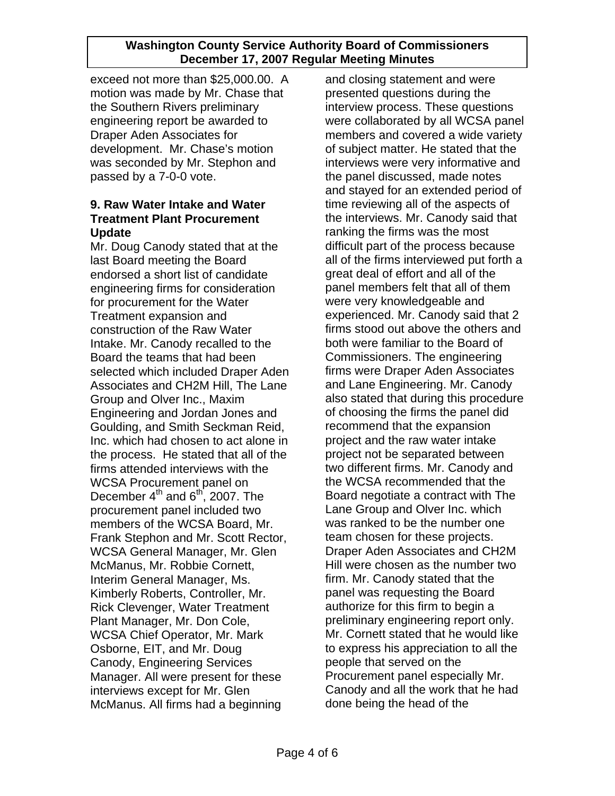exceed not more than \$25,000.00. A motion was made by Mr. Chase that the Southern Rivers preliminary engineering report be awarded to Draper Aden Associates for development. Mr. Chase's motion was seconded by Mr. Stephon and passed by a 7-0-0 vote.

### **9. Raw Water Intake and Water Treatment Plant Procurement Update**

Mr. Doug Canody stated that at the last Board meeting the Board endorsed a short list of candidate engineering firms for consideration for procurement for the Water Treatment expansion and construction of the Raw Water Intake. Mr. Canody recalled to the Board the teams that had been selected which included Draper Aden Associates and CH2M Hill, The Lane Group and Olver Inc., Maxim Engineering and Jordan Jones and Goulding, and Smith Seckman Reid, Inc. which had chosen to act alone in the process. He stated that all of the firms attended interviews with the WCSA Procurement panel on December  $4^{th}$  and  $6^{th}$ , 2007. The procurement panel included two members of the WCSA Board, Mr. Frank Stephon and Mr. Scott Rector, WCSA General Manager, Mr. Glen McManus, Mr. Robbie Cornett, Interim General Manager, Ms. Kimberly Roberts, Controller, Mr. Rick Clevenger, Water Treatment Plant Manager, Mr. Don Cole, WCSA Chief Operator, Mr. Mark Osborne, EIT, and Mr. Doug Canody, Engineering Services Manager. All were present for these interviews except for Mr. Glen McManus. All firms had a beginning

and closing statement and were presented questions during the interview process. These questions were collaborated by all WCSA panel members and covered a wide variety of subject matter. He stated that the interviews were very informative and the panel discussed, made notes and stayed for an extended period of time reviewing all of the aspects of the interviews. Mr. Canody said that ranking the firms was the most difficult part of the process because all of the firms interviewed put forth a great deal of effort and all of the panel members felt that all of them were very knowledgeable and experienced. Mr. Canody said that 2 firms stood out above the others and both were familiar to the Board of Commissioners. The engineering firms were Draper Aden Associates and Lane Engineering. Mr. Canody also stated that during this procedure of choosing the firms the panel did recommend that the expansion project and the raw water intake project not be separated between two different firms. Mr. Canody and the WCSA recommended that the Board negotiate a contract with The Lane Group and Olver Inc. which was ranked to be the number one team chosen for these projects. Draper Aden Associates and CH2M Hill were chosen as the number two firm. Mr. Canody stated that the panel was requesting the Board authorize for this firm to begin a preliminary engineering report only. Mr. Cornett stated that he would like to express his appreciation to all the people that served on the Procurement panel especially Mr. Canody and all the work that he had done being the head of the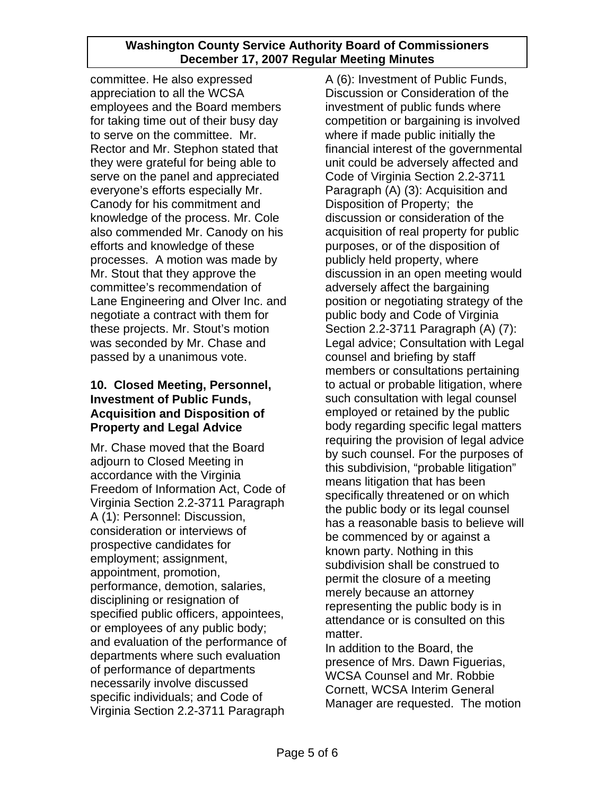committee. He also expressed appreciation to all the WCSA employees and the Board members for taking time out of their busy day to serve on the committee. Mr. Rector and Mr. Stephon stated that they were grateful for being able to serve on the panel and appreciated everyone's efforts especially Mr. Canody for his commitment and knowledge of the process. Mr. Cole also commended Mr. Canody on his efforts and knowledge of these processes. A motion was made by Mr. Stout that they approve the committee's recommendation of Lane Engineering and Olver Inc. and negotiate a contract with them for these projects. Mr. Stout's motion was seconded by Mr. Chase and passed by a unanimous vote.

## **10. Closed Meeting, Personnel, Investment of Public Funds, Acquisition and Disposition of Property and Legal Advice**

Mr. Chase moved that the Board adjourn to Closed Meeting in accordance with the Virginia Freedom of Information Act, Code of Virginia Section 2.2-3711 Paragraph A (1): Personnel: Discussion, consideration or interviews of prospective candidates for employment; assignment, appointment, promotion, performance, demotion, salaries, disciplining or resignation of specified public officers, appointees, or employees of any public body; and evaluation of the performance of departments where such evaluation of performance of departments necessarily involve discussed specific individuals; and Code of Virginia Section 2.2-3711 Paragraph

A (6): Investment of Public Funds, Discussion or Consideration of the investment of public funds where competition or bargaining is involved where if made public initially the financial interest of the governmental unit could be adversely affected and Code of Virginia Section 2.2-3711 Paragraph (A) (3): Acquisition and Disposition of Property; the discussion or consideration of the acquisition of real property for public purposes, or of the disposition of publicly held property, where discussion in an open meeting would adversely affect the bargaining position or negotiating strategy of the public body and Code of Virginia Section 2.2-3711 Paragraph (A) (7): Legal advice; Consultation with Legal counsel and briefing by staff members or consultations pertaining to actual or probable litigation, where such consultation with legal counsel employed or retained by the public body regarding specific legal matters requiring the provision of legal advice by such counsel. For the purposes of this subdivision, "probable litigation" means litigation that has been specifically threatened or on which the public body or its legal counsel has a reasonable basis to believe will be commenced by or against a known party. Nothing in this subdivision shall be construed to permit the closure of a meeting merely because an attorney representing the public body is in attendance or is consulted on this matter.

In addition to the Board, the presence of Mrs. Dawn Figuerias, WCSA Counsel and Mr. Robbie Cornett, WCSA Interim General Manager are requested. The motion